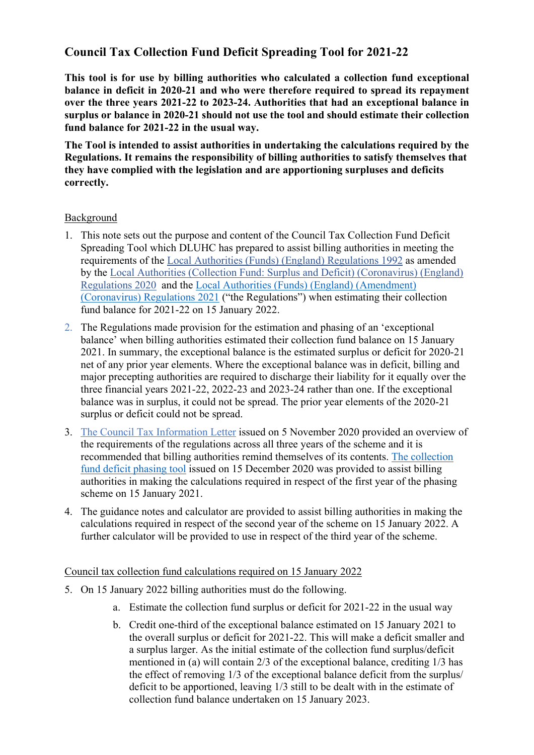# **Council Tax Collection Fund Deficit Spreading Tool for 2021-22**

**This tool is for use by billing authorities who calculated a collection fund exceptional balance in deficit in 2020-21 and who were therefore required to spread its repayment over the three years 2021-22 to 2023-24. Authorities that had an exceptional balance in surplus or balance in 2020-21 should not use the tool and should estimate their collection fund balance for 2021-22 in the usual way.**

**The Tool is intended to assist authorities in undertaking the calculations required by the Regulations. It remains the responsibility of billing authorities to satisfy themselves that they have complied with the legislation and are apportioning surpluses and deficits correctly.** 

### Background

- 1. This note sets out the purpose and content of the Council Tax Collection Fund Deficit Spreading Tool which DLUHC has prepared to assist billing authorities in meeting the requirements of the [Local Authorities \(Funds\) \(England\) Regulations 1992](https://www.legislation.gov.uk/uksi/1992/2428/contents/made) as amended by the [Local Authorities \(Collection Fund: Surplus and Deficit\) \(Coronavirus\) \(England\)](https://www.legislation.gov.uk/uksi/2020/1202/contents/made)  [Regulations 2020](https://www.legislation.gov.uk/uksi/2020/1202/contents/made) and the [Local Authorities \(Funds\) \(England\) \(Amendment\)](https://www.legislation.gov.uk/uksi/2021/1343/contents/made)  [\(Coronavirus\) Regulations 2021](https://www.legislation.gov.uk/uksi/2021/1343/contents/made) ("the Regulations") when estimating their collection fund balance for 2021-22 on 15 January 2022.
- 2. The Regulations made provision for the estimation and phasing of an 'exceptional balance' when billing authorities estimated their collection fund balance on 15 January 2021. In summary, the exceptional balance is the estimated surplus or deficit for 2020-21 net of any prior year elements. Where the exceptional balance was in deficit, billing and major precepting authorities are required to discharge their liability for it equally over the three financial years 2021-22, 2022-23 and 2023-24 rather than one. If the exceptional balance was in surplus, it could not be spread. The prior year elements of the 2020-21 surplus or deficit could not be spread.
- 3. [The Council Tax Information Letter](https://www.gov.uk/government/publications/42020-council-tax-information-letter-5-november-2020) issued on 5 November 2020 provided an overview of the requirements of the regulations across all three years of the scheme and it is recommended that billing authorities remind themselves of its contents. [The collection](https://www.gov.uk/government/publications/62020-council-tax-information-letter-15-december-2020)  [fund deficit phasing tool](https://www.gov.uk/government/publications/62020-council-tax-information-letter-15-december-2020) issued on 15 December 2020 was provided to assist billing authorities in making the calculations required in respect of the first year of the phasing scheme on 15 January 2021.
- 4. The guidance notes and calculator are provided to assist billing authorities in making the calculations required in respect of the second year of the scheme on 15 January 2022. A further calculator will be provided to use in respect of the third year of the scheme.

#### Council tax collection fund calculations required on 15 January 2022

- 5. On 15 January 2022 billing authorities must do the following.
	- a. Estimate the collection fund surplus or deficit for 2021-22 in the usual way
	- b. Credit one-third of the exceptional balance estimated on 15 January 2021 to the overall surplus or deficit for 2021-22. This will make a deficit smaller and a surplus larger. As the initial estimate of the collection fund surplus/deficit mentioned in (a) will contain 2/3 of the exceptional balance, crediting 1/3 has the effect of removing 1/3 of the exceptional balance deficit from the surplus/ deficit to be apportioned, leaving 1/3 still to be dealt with in the estimate of collection fund balance undertaken on 15 January 2023.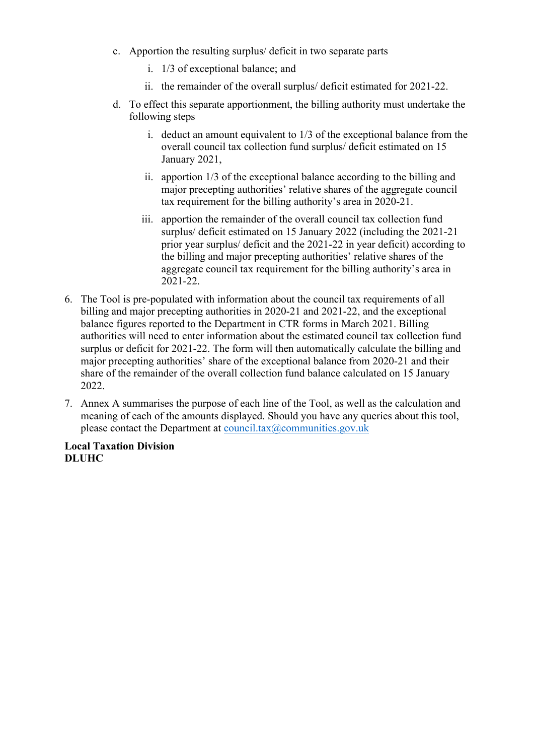- c. Apportion the resulting surplus/ deficit in two separate parts
	- i. 1/3 of exceptional balance; and
	- ii. the remainder of the overall surplus/ deficit estimated for 2021-22.
- d. To effect this separate apportionment, the billing authority must undertake the following steps
	- i. deduct an amount equivalent to 1/3 of the exceptional balance from the overall council tax collection fund surplus/ deficit estimated on 15 January 2021,
	- ii. apportion 1/3 of the exceptional balance according to the billing and major precepting authorities' relative shares of the aggregate council tax requirement for the billing authority's area in 2020-21.
	- iii. apportion the remainder of the overall council tax collection fund surplus/ deficit estimated on 15 January 2022 (including the 2021-21 prior year surplus/ deficit and the 2021-22 in year deficit) according to the billing and major precepting authorities' relative shares of the aggregate council tax requirement for the billing authority's area in 2021-22.
- 6. The Tool is pre-populated with information about the council tax requirements of all billing and major precepting authorities in 2020-21 and 2021-22, and the exceptional balance figures reported to the Department in CTR forms in March 2021. Billing authorities will need to enter information about the estimated council tax collection fund surplus or deficit for 2021-22. The form will then automatically calculate the billing and major precepting authorities' share of the exceptional balance from 2020-21 and their share of the remainder of the overall collection fund balance calculated on 15 January 2022.
- 7. Annex A summarises the purpose of each line of the Tool, as well as the calculation and meaning of each of the amounts displayed. Should you have any queries about this tool, please contact the Department at council.tax $@$ communities.gov.uk

**Local Taxation Division DLUHC**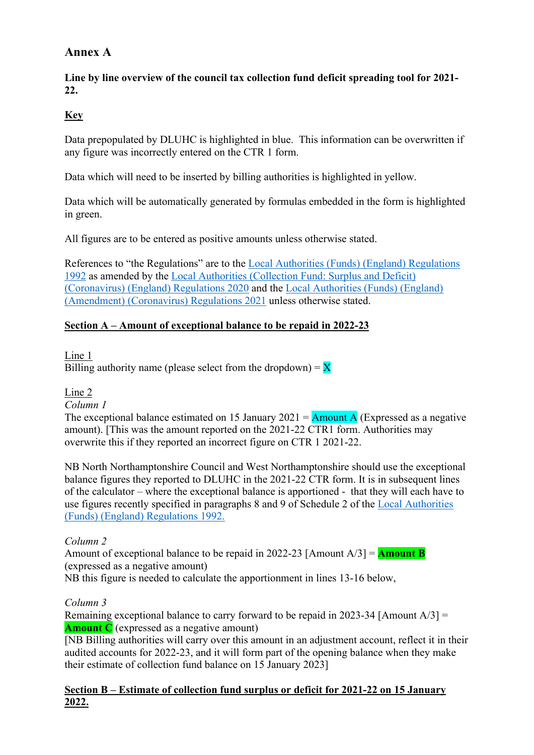## **Annex A**

**Line by line overview of the council tax collection fund deficit spreading tool for 2021- 22.**

### **Key**

Data prepopulated by DLUHC is highlighted in blue. This information can be overwritten if any figure was incorrectly entered on the CTR 1 form.

Data which will need to be inserted by billing authorities is highlighted in yellow.

Data which will be automatically generated by formulas embedded in the form is highlighted in green.

All figures are to be entered as positive amounts unless otherwise stated.

References to "the Regulations" are to the [Local Authorities \(Funds\) \(England\) Regulations](https://www.legislation.gov.uk/uksi/1992/2428/contents/made)  [1992](https://www.legislation.gov.uk/uksi/1992/2428/contents/made) as amended by the [Local Authorities \(Collection Fund: Surplus and Deficit\)](https://www.legislation.gov.uk/uksi/2020/1202/contents/made)  [\(Coronavirus\) \(England\) Regulations 2020](https://www.legislation.gov.uk/uksi/2020/1202/contents/made) and the [Local Authorities \(Funds\) \(England\)](https://www.legislation.gov.uk/uksi/2021/1343)  [\(Amendment\) \(Coronavirus\) Regulations 2021](https://www.legislation.gov.uk/uksi/2021/1343) unless otherwise stated.

### **Section A – Amount of exceptional balance to be repaid in 2022-23**

Line 1

Billing authority name (please select from the dropdown) =  $\bf{X}$ 

### Line 2

*Column 1*

The exceptional balance estimated on 15 January 2021 =  $\frac{\text{Amount A}}{\text{Amount A}}$  (Expressed as a negative amount). [This was the amount reported on the 2021-22 CTR1 form. Authorities may overwrite this if they reported an incorrect figure on CTR 1 2021-22.

NB North Northamptonshire Council and West Northamptonshire should use the exceptional balance figures they reported to DLUHC in the 2021-22 CTR form. It is in subsequent lines of the calculator – where the exceptional balance is apportioned - that they will each have to use figures recently specified in paragraphs 8 and 9 of Schedule 2 of the [Local Authorities](https://www.legislation.gov.uk/uksi/2021/1343)  [\(Funds\) \(England\) Regulations 1992.](https://www.legislation.gov.uk/uksi/2021/1343)

### *Column 2*

Amount of exceptional balance to be repaid in 2022-23 [Amount A/3] = **Amount B** (expressed as a negative amount)

NB this figure is needed to calculate the apportionment in lines 13-16 below,

### *Column 3*

Remaining exceptional balance to carry forward to be repaid in 2023-34 [Amount  $A/3$ ] = **Amount C** (expressed as a negative amount)

[NB Billing authorities will carry over this amount in an adjustment account, reflect it in their audited accounts for 2022-23, and it will form part of the opening balance when they make their estimate of collection fund balance on 15 January 2023]

### **Section B – Estimate of collection fund surplus or deficit for 2021-22 on 15 January 2022.**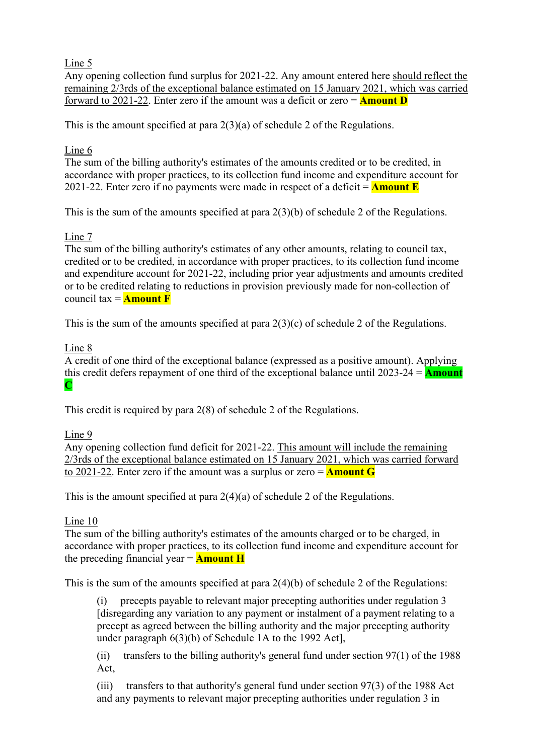### Line 5

Any opening collection fund surplus for 2021-22. Any amount entered here should reflect the remaining 2/3rds of the exceptional balance estimated on 15 January 2021, which was carried forward to 2021-22. Enter zero if the amount was a deficit or zero = **Amount D**

This is the amount specified at para 2(3)(a) of schedule 2 of the Regulations.

## Line 6

The sum of the billing authority's estimates of the amounts credited or to be credited, in accordance with proper practices, to its collection fund income and expenditure account for 2021-22. Enter zero if no payments were made in respect of a deficit = **Amount E**

This is the sum of the amounts specified at para 2(3)(b) of schedule 2 of the Regulations.

### Line 7

The sum of the billing authority's estimates of any other amounts, relating to council tax, credited or to be credited, in accordance with proper practices, to its collection fund income and expenditure account for 2021-22, including prior year adjustments and amounts credited or to be credited relating to reductions in provision previously made for non-collection of council tax  $=$  **Amount F** 

This is the sum of the amounts specified at para 2(3)(c) of schedule 2 of the Regulations.

## Line 8

A credit of one third of the exceptional balance (expressed as a positive amount). Applying this credit defers repayment of one third of the exceptional balance until 2023-24 = **Amount C**

This credit is required by para 2(8) of schedule 2 of the Regulations.

### Line 9

Any opening collection fund deficit for 2021-22. This amount will include the remaining 2/3rds of the exceptional balance estimated on 15 January 2021, which was carried forward to 2021-22. Enter zero if the amount was a surplus or zero = **Amount G**

This is the amount specified at para 2(4)(a) of schedule 2 of the Regulations.

### Line 10

The sum of the billing authority's estimates of the amounts charged or to be charged, in accordance with proper practices, to its collection fund income and expenditure account for the preceding financial year = **Amount H**

This is the sum of the amounts specified at para 2(4)(b) of schedule 2 of the Regulations:

precepts payable to relevant major precepting authorities under regulation 3 [disregarding any variation to any payment or instalment of a payment relating to a precept as agreed between the billing authority and the major precepting authority under paragraph 6(3)(b) of Schedule 1A to the 1992 Act],

(ii) transfers to the billing authority's general fund under section 97(1) of the 1988 Act,

(iii) transfers to that authority's general fund under section 97(3) of the 1988 Act and any payments to relevant major precepting authorities under regulation 3 in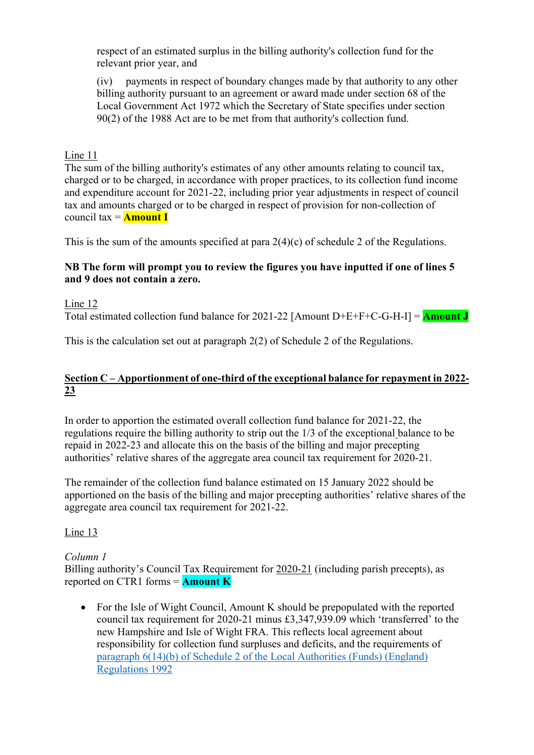respect of an estimated surplus in the billing authority's collection fund for the relevant prior year, and

(iv) payments in respect of boundary changes made by that authority to any other billing authority pursuant to an agreement or award made under section 68 of the Local Government Act 1972 which the Secretary of State specifies under section 90(2) of the 1988 Act are to be met from that authority's collection fund.

### Line 11

The sum of the billing authority's estimates of any other amounts relating to council tax, charged or to be charged, in accordance with proper practices, to its collection fund income and expenditure account for 2021-22, including prior year adjustments in respect of council tax and amounts charged or to be charged in respect of provision for non-collection of council tax = **Amount I**

This is the sum of the amounts specified at para 2(4)(c) of schedule 2 of the Regulations.

#### **NB The form will prompt you to review the figures you have inputted if one of lines 5 and 9 does not contain a zero.**

Line 12

Total estimated collection fund balance for 2021-22 [Amount D+E+F+C-G-H-I] = **Amount J**

This is the calculation set out at paragraph 2(2) of Schedule 2 of the Regulations.

### **Section C – Apportionment of one-third of the exceptional balance for repayment in 2022- 23**

In order to apportion the estimated overall collection fund balance for 2021-22, the regulations require the billing authority to strip out the 1/3 of the exceptional balance to be repaid in 2022-23 and allocate this on the basis of the billing and major precepting authorities' relative shares of the aggregate area council tax requirement for 2020-21.

The remainder of the collection fund balance estimated on 15 January 2022 should be apportioned on the basis of the billing and major precepting authorities' relative shares of the aggregate area council tax requirement for 2021-22.

Line 13

### *Column 1*

Billing authority's Council Tax Requirement for 2020-21 (including parish precepts), as reported on CTR1 forms = **Amount K**

• For the Isle of Wight Council, Amount K should be prepopulated with the reported council tax requirement for 2020-21 minus £3,347,939.09 which 'transferred' to the new Hampshire and Isle of Wight FRA. This reflects local agreement about responsibility for collection fund surpluses and deficits, and the requirements of paragraph 6(14)(b) of [Schedule 2 of the Local Authorities \(Funds\) \(England\)](https://www.legislation.gov.uk/uksi/2020/1202/regulation/2/made)  [Regulations 1992](https://www.legislation.gov.uk/uksi/2020/1202/regulation/2/made)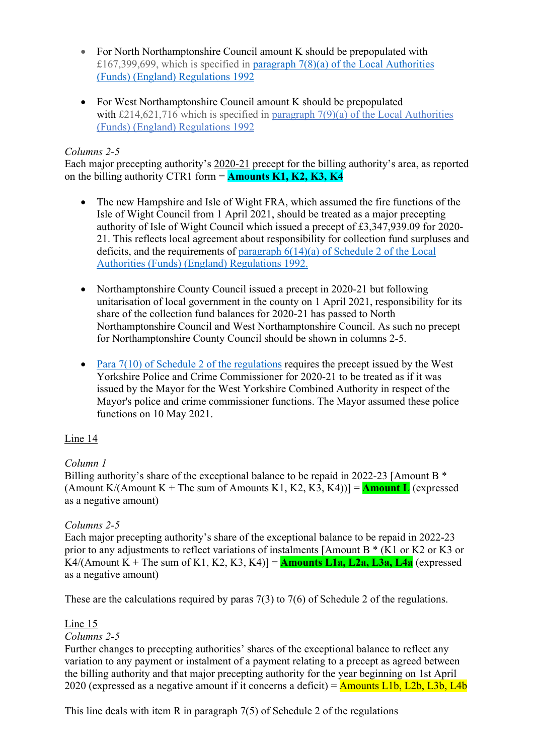- For North Northamptonshire Council amount K should be prepopulated with £167,399,699, which is specified in paragraph  $7(8)(a)$  of the Local Authorities [\(Funds\) \(England\) Regulations 1992](https://www.legislation.gov.uk/uksi/2021/1343/regulation/2/made)
- For West Northamptonshire Council amount K should be prepopulated with £214,621,716 which is specified in paragraph 7(9)(a) of the Local Authorities [\(Funds\) \(England\) Regulations 1992](https://www.legislation.gov.uk/uksi/2021/1343/regulation/2/made)

### *Columns 2-5*

Each major precepting authority's 2020-21 precept for the billing authority's area, as reported on the billing authority CTR1 form = **Amounts K1, K2, K3, K4** 

- The new Hampshire and Isle of Wight FRA, which assumed the fire functions of the Isle of Wight Council from 1 April 2021, should be treated as a major precepting authority of Isle of Wight Council which issued a precept of £3,347,939.09 for 2020- 21. This reflects local agreement about responsibility for collection fund surpluses and deficits, and the requirements of paragraph 6(14)(a) of [Schedule 2 of the Local](https://www.legislation.gov.uk/uksi/2020/1202/regulation/2/made)  [Authorities \(Funds\) \(England\) Regulations 1992.](https://www.legislation.gov.uk/uksi/2020/1202/regulation/2/made)
- Northamptonshire County Council issued a precept in 2020-21 but following unitarisation of local government in the county on 1 April 2021, responsibility for its share of the collection fund balances for 2020-21 has passed to North Northamptonshire Council and West Northamptonshire Council. As such no precept for Northamptonshire County Council should be shown in columns 2-5.
- Para  $7(10)$  of Schedule 2 of the regulations requires the precept issued by the West Yorkshire Police and Crime Commissioner for 2020-21 to be treated as if it was issued by the Mayor for the West Yorkshire Combined Authority in respect of the Mayor's police and crime commissioner functions. The Mayor assumed these police functions on 10 May 2021.

### Line 14

### *Column 1*

Billing authority's share of the exceptional balance to be repaid in 2022-23 [Amount B  $*$ (Amount K/(Amount K + The sum of Amounts K1, K2, K3, K4))] =  $\Delta$ **mount L** (expressed as a negative amount)

### *Columns 2-5*

Each major precepting authority's share of the exceptional balance to be repaid in 2022-23 prior to any adjustments to reflect variations of instalments [Amount B \* (K1 or K2 or K3 or K4/(Amount K + The sum of K1, K2, K3, K4)] =  $A$ **mounts L1a, L2a, L3a, L4a** (expressed as a negative amount)

These are the calculations required by paras 7(3) to 7(6) of Schedule 2 of the regulations.

### Line 15

### *Columns 2-5*

Further changes to precepting authorities' shares of the exceptional balance to reflect any variation to any payment or instalment of a payment relating to a precept as agreed between the billing authority and that major precepting authority for the year beginning on 1st April 2020 (expressed as a negative amount if it concerns a deficit) =  $\Delta$ mounts L1b, L2b, L3b, L4b

This line deals with item R in paragraph 7(5) of Schedule 2 of the regulations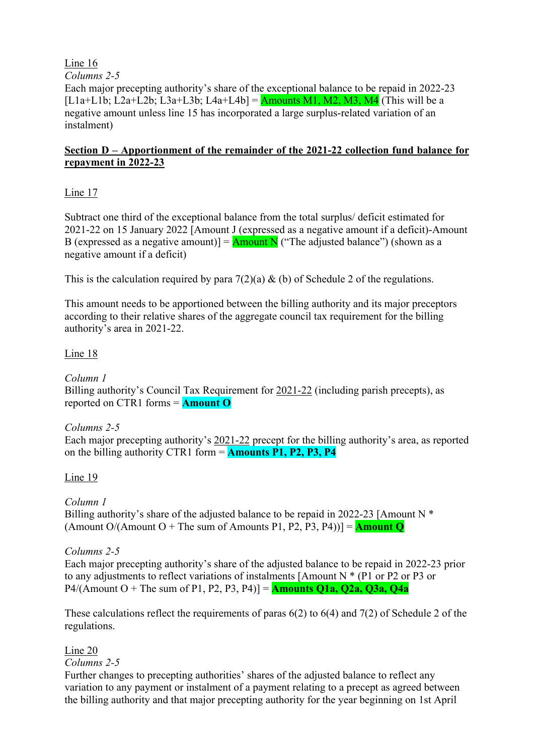Line 16

*Columns 2-5*

Each major precepting authority's share of the exceptional balance to be repaid in 2022-23  $[L1a+L1b; L2a+L2b; L3a+L3b; L4a+L4b] =$  Amounts M1, M2, M3, M4 (This will be a negative amount unless line 15 has incorporated a large surplus-related variation of an instalment)

### **Section D – Apportionment of the remainder of the 2021-22 collection fund balance for repayment in 2022-23**

### Line 17

Subtract one third of the exceptional balance from the total surplus/ deficit estimated for 2021-22 on 15 January 2022 [Amount J (expressed as a negative amount if a deficit)-Amount B (expressed as a negative amount)] =  $\frac{\text{Amount N}}{\text{(}}$  ("The adjusted balance") (shown as a negative amount if a deficit)

This is the calculation required by para  $7(2)(a)$  & (b) of Schedule 2 of the regulations.

This amount needs to be apportioned between the billing authority and its major preceptors according to their relative shares of the aggregate council tax requirement for the billing authority's area in 2021-22.

### Line 18

*Column 1* Billing authority's Council Tax Requirement for 2021-22 (including parish precepts), as reported on CTR1 forms = **Amount O**

### *Columns 2-5*

Each major precepting authority's 2021-22 precept for the billing authority's area, as reported on the billing authority CTR1 form = **Amounts P1, P2, P3, P4** 

### Line 19

*Column 1* 

Billing authority's share of the adjusted balance to be repaid in 2022-23 [Amount N  $*$ (Amount  $O/(Amount O + The sum of Amounts P1, P2, P3, P4))$ ] = **Amount Q** 

### *Columns 2-5*

Each major precepting authority's share of the adjusted balance to be repaid in 2022-23 prior to any adjustments to reflect variations of instalments [Amount N \* (P1 or P2 or P3 or P4/(Amount  $O +$  The sum of P1, P2, P3, P4)] = **Amounts Q1a, Q2a, Q3a, Q4a** 

These calculations reflect the requirements of paras 6(2) to 6(4) and 7(2) of Schedule 2 of the regulations.

### Line 20

*Columns 2-5*

Further changes to precepting authorities' shares of the adjusted balance to reflect any variation to any payment or instalment of a payment relating to a precept as agreed between the billing authority and that major precepting authority for the year beginning on 1st April